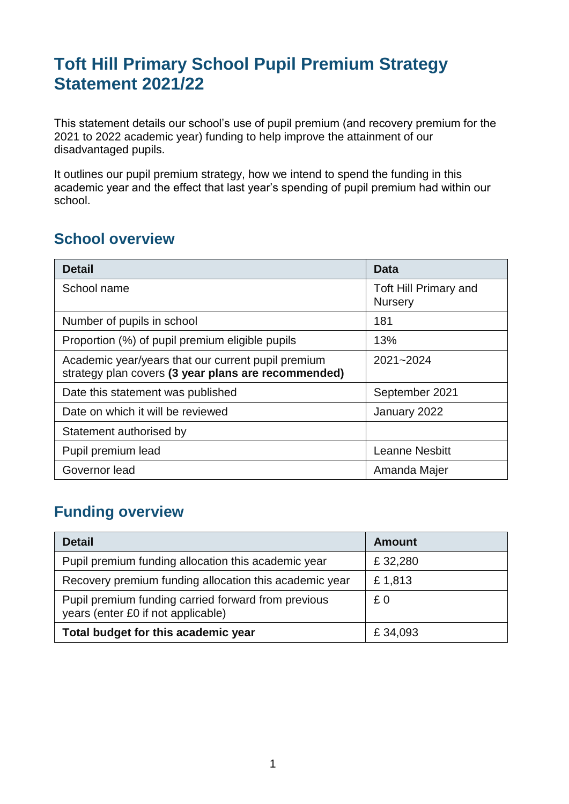# **Toft Hill Primary School Pupil Premium Strategy Statement 2021/22**

This statement details our school's use of pupil premium (and recovery premium for the 2021 to 2022 academic year) funding to help improve the attainment of our disadvantaged pupils.

It outlines our pupil premium strategy, how we intend to spend the funding in this academic year and the effect that last year's spending of pupil premium had within our school.

#### **School overview**

| <b>Detail</b>                                                                                             | Data                                           |
|-----------------------------------------------------------------------------------------------------------|------------------------------------------------|
| School name                                                                                               | <b>Toft Hill Primary and</b><br><b>Nursery</b> |
| Number of pupils in school                                                                                | 181                                            |
| Proportion (%) of pupil premium eligible pupils                                                           | 13%                                            |
| Academic year/years that our current pupil premium<br>strategy plan covers (3 year plans are recommended) | 2021~2024                                      |
| Date this statement was published                                                                         | September 2021                                 |
| Date on which it will be reviewed                                                                         | January 2022                                   |
| Statement authorised by                                                                                   |                                                |
| Pupil premium lead                                                                                        | <b>Leanne Nesbitt</b>                          |
| Governor lead                                                                                             | Amanda Majer                                   |

### **Funding overview**

| <b>Detail</b>                                                                             | <b>Amount</b> |
|-------------------------------------------------------------------------------------------|---------------|
| Pupil premium funding allocation this academic year                                       | £32,280       |
| Recovery premium funding allocation this academic year                                    | £1,813        |
| Pupil premium funding carried forward from previous<br>years (enter £0 if not applicable) | £0            |
| Total budget for this academic year                                                       | £34,093       |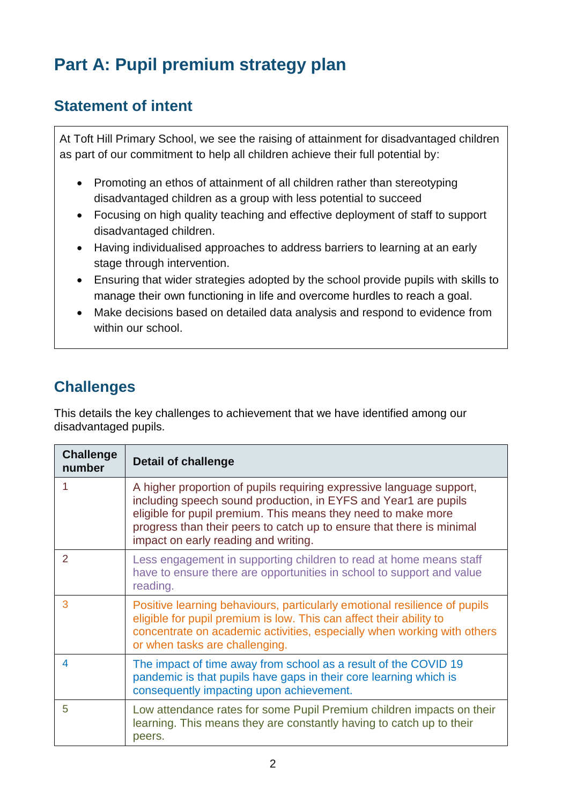# **Part A: Pupil premium strategy plan**

## **Statement of intent**

At Toft Hill Primary School, we see the raising of attainment for disadvantaged children as part of our commitment to help all children achieve their full potential by:

- Promoting an ethos of attainment of all children rather than stereotyping disadvantaged children as a group with less potential to succeed
- Focusing on high quality teaching and effective deployment of staff to support disadvantaged children.
- Having individualised approaches to address barriers to learning at an early stage through intervention.
- Ensuring that wider strategies adopted by the school provide pupils with skills to manage their own functioning in life and overcome hurdles to reach a goal.
- Make decisions based on detailed data analysis and respond to evidence from within our school.

# **Challenges**

This details the key challenges to achievement that we have identified among our disadvantaged pupils.

| <b>Challenge</b><br>number | <b>Detail of challenge</b>                                                                                                                                                                                                                                                                                                |
|----------------------------|---------------------------------------------------------------------------------------------------------------------------------------------------------------------------------------------------------------------------------------------------------------------------------------------------------------------------|
|                            | A higher proportion of pupils requiring expressive language support,<br>including speech sound production, in EYFS and Year1 are pupils<br>eligible for pupil premium. This means they need to make more<br>progress than their peers to catch up to ensure that there is minimal<br>impact on early reading and writing. |
| $\overline{2}$             | Less engagement in supporting children to read at home means staff<br>have to ensure there are opportunities in school to support and value<br>reading.                                                                                                                                                                   |
| 3                          | Positive learning behaviours, particularly emotional resilience of pupils<br>eligible for pupil premium is low. This can affect their ability to<br>concentrate on academic activities, especially when working with others<br>or when tasks are challenging.                                                             |
| 4                          | The impact of time away from school as a result of the COVID 19<br>pandemic is that pupils have gaps in their core learning which is<br>consequently impacting upon achievement.                                                                                                                                          |
| 5                          | Low attendance rates for some Pupil Premium children impacts on their<br>learning. This means they are constantly having to catch up to their<br>peers.                                                                                                                                                                   |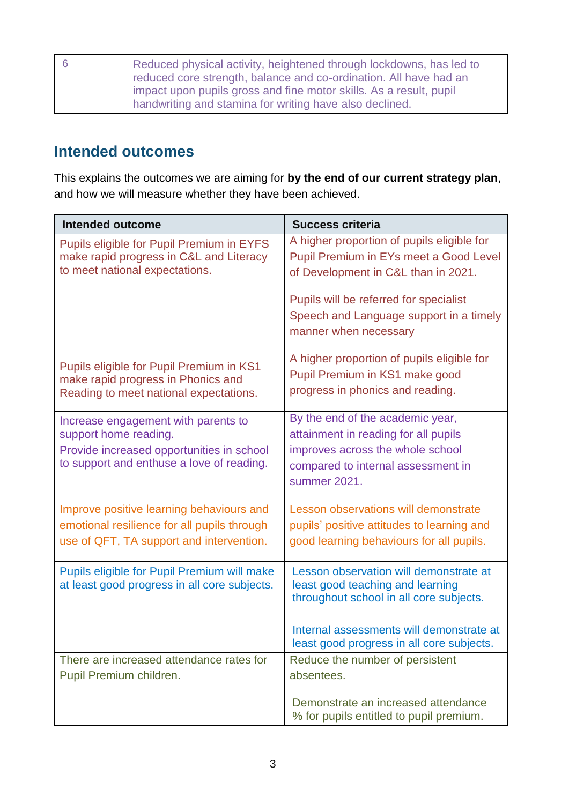| <sub>16</sub> | Reduced physical activity, heightened through lockdowns, has led to |
|---------------|---------------------------------------------------------------------|
|               | reduced core strength, balance and co-ordination. All have had an   |
|               | impact upon pupils gross and fine motor skills. As a result, pupil  |
|               | handwriting and stamina for writing have also declined.             |

#### **Intended outcomes**

This explains the outcomes we are aiming for **by the end of our current strategy plan**, and how we will measure whether they have been achieved.

| <b>Intended outcome</b>                                                                                                  | <b>Success criteria</b>                                                                                                     |
|--------------------------------------------------------------------------------------------------------------------------|-----------------------------------------------------------------------------------------------------------------------------|
| Pupils eligible for Pupil Premium in EYFS<br>make rapid progress in C&L and Literacy<br>to meet national expectations.   | A higher proportion of pupils eligible for<br>Pupil Premium in EYs meet a Good Level<br>of Development in C&L than in 2021. |
|                                                                                                                          | Pupils will be referred for specialist<br>Speech and Language support in a timely<br>manner when necessary                  |
| Pupils eligible for Pupil Premium in KS1<br>make rapid progress in Phonics and<br>Reading to meet national expectations. | A higher proportion of pupils eligible for<br>Pupil Premium in KS1 make good<br>progress in phonics and reading.            |
| Increase engagement with parents to                                                                                      | By the end of the academic year,<br>attainment in reading for all pupils                                                    |
| support home reading.<br>Provide increased opportunities in school<br>to support and enthuse a love of reading.          | improves across the whole school<br>compared to internal assessment in<br>summer 2021.                                      |
| Improve positive learning behaviours and                                                                                 | Lesson observations will demonstrate                                                                                        |
| emotional resilience for all pupils through<br>use of QFT, TA support and intervention.                                  | pupils' positive attitudes to learning and<br>good learning behaviours for all pupils.                                      |
| Pupils eligible for Pupil Premium will make<br>at least good progress in all core subjects.                              | Lesson observation will demonstrate at<br>least good teaching and learning<br>throughout school in all core subjects.       |
|                                                                                                                          | Internal assessments will demonstrate at<br>least good progress in all core subjects.                                       |
| There are increased attendance rates for                                                                                 | Reduce the number of persistent                                                                                             |
| Pupil Premium children.                                                                                                  | absentees.                                                                                                                  |
|                                                                                                                          | Demonstrate an increased attendance<br>% for pupils entitled to pupil premium.                                              |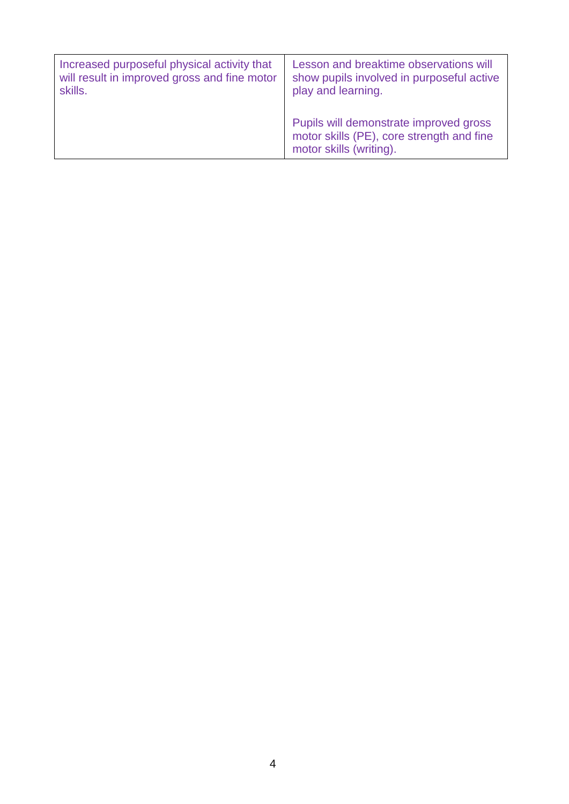| Increased purposeful physical activity that  | Lesson and breaktime observations will                                                                         |
|----------------------------------------------|----------------------------------------------------------------------------------------------------------------|
| will result in improved gross and fine motor | show pupils involved in purposeful active                                                                      |
| skills.                                      | play and learning.                                                                                             |
|                                              | Pupils will demonstrate improved gross<br>motor skills (PE), core strength and fine<br>motor skills (writing). |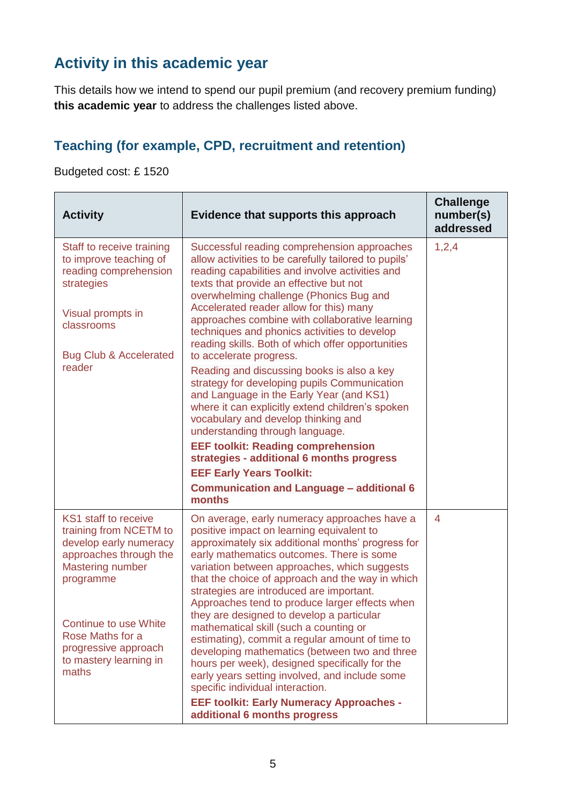# **Activity in this academic year**

This details how we intend to spend our pupil premium (and recovery premium funding) **this academic year** to address the challenges listed above.

### **Teaching (for example, CPD, recruitment and retention)**

Budgeted cost: £ 1520

| <b>Activity</b>                                                                                                                                                                                                                                           | Evidence that supports this approach                                                                                                                                                                                                                                                                                                                                                                                                                                                                                                                                                                                                                                                                                                                                                | <b>Challenge</b><br>number(s)<br>addressed |
|-----------------------------------------------------------------------------------------------------------------------------------------------------------------------------------------------------------------------------------------------------------|-------------------------------------------------------------------------------------------------------------------------------------------------------------------------------------------------------------------------------------------------------------------------------------------------------------------------------------------------------------------------------------------------------------------------------------------------------------------------------------------------------------------------------------------------------------------------------------------------------------------------------------------------------------------------------------------------------------------------------------------------------------------------------------|--------------------------------------------|
| Staff to receive training<br>to improve teaching of<br>reading comprehension<br>strategies<br>Visual prompts in<br>classrooms<br><b>Bug Club &amp; Accelerated</b>                                                                                        | Successful reading comprehension approaches<br>allow activities to be carefully tailored to pupils'<br>reading capabilities and involve activities and<br>texts that provide an effective but not<br>overwhelming challenge (Phonics Bug and<br>Accelerated reader allow for this) many<br>approaches combine with collaborative learning<br>techniques and phonics activities to develop<br>reading skills. Both of which offer opportunities<br>to accelerate progress.                                                                                                                                                                                                                                                                                                           | 1,2,4                                      |
| reader                                                                                                                                                                                                                                                    | Reading and discussing books is also a key<br>strategy for developing pupils Communication<br>and Language in the Early Year (and KS1)<br>where it can explicitly extend children's spoken<br>vocabulary and develop thinking and<br>understanding through language.<br><b>EEF toolkit: Reading comprehension</b><br>strategies - additional 6 months progress<br><b>EEF Early Years Toolkit:</b><br><b>Communication and Language - additional 6</b><br>months                                                                                                                                                                                                                                                                                                                     |                                            |
| <b>KS1</b> staff to receive<br>training from NCETM to<br>develop early numeracy<br>approaches through the<br><b>Mastering number</b><br>programme<br>Continue to use White<br>Rose Maths for a<br>progressive approach<br>to mastery learning in<br>maths | On average, early numeracy approaches have a<br>positive impact on learning equivalent to<br>approximately six additional months' progress for<br>early mathematics outcomes. There is some<br>variation between approaches, which suggests<br>that the choice of approach and the way in which<br>strategies are introduced are important.<br>Approaches tend to produce larger effects when<br>they are designed to develop a particular<br>mathematical skill (such a counting or<br>estimating), commit a regular amount of time to<br>developing mathematics (between two and three<br>hours per week), designed specifically for the<br>early years setting involved, and include some<br>specific individual interaction.<br><b>EEF toolkit: Early Numeracy Approaches -</b> | 4                                          |
|                                                                                                                                                                                                                                                           | additional 6 months progress                                                                                                                                                                                                                                                                                                                                                                                                                                                                                                                                                                                                                                                                                                                                                        |                                            |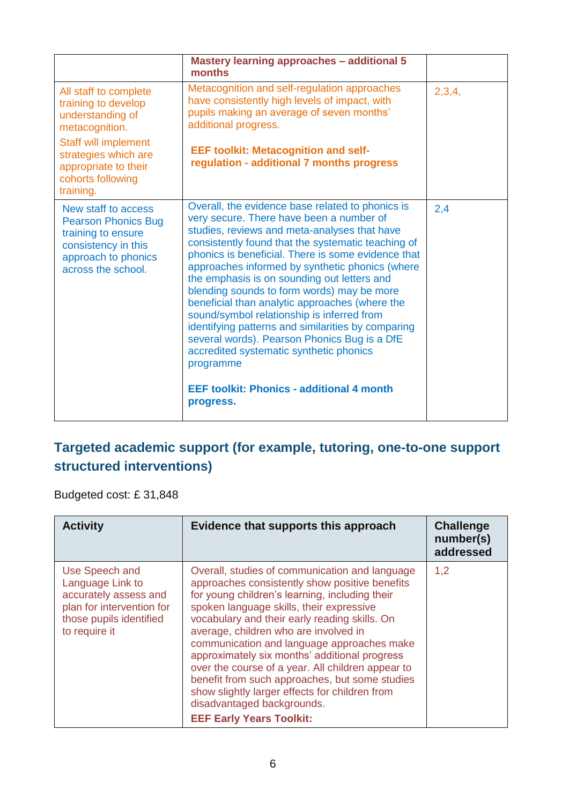|                                                                                                                                                                                                     | <b>Mastery learning approaches - additional 5</b><br>months                                                                                                                                                                                                                                                                                                                                                                                                                                                                                                                                                                                                                                                                             |        |
|-----------------------------------------------------------------------------------------------------------------------------------------------------------------------------------------------------|-----------------------------------------------------------------------------------------------------------------------------------------------------------------------------------------------------------------------------------------------------------------------------------------------------------------------------------------------------------------------------------------------------------------------------------------------------------------------------------------------------------------------------------------------------------------------------------------------------------------------------------------------------------------------------------------------------------------------------------------|--------|
| All staff to complete<br>training to develop<br>understanding of<br>metacognition.<br><b>Staff will implement</b><br>strategies which are<br>appropriate to their<br>cohorts following<br>training. | Metacognition and self-regulation approaches<br>have consistently high levels of impact, with<br>pupils making an average of seven months'<br>additional progress.<br><b>EEF toolkit: Metacognition and self-</b><br>regulation - additional 7 months progress                                                                                                                                                                                                                                                                                                                                                                                                                                                                          | 2,3,4, |
| New staff to access<br><b>Pearson Phonics Bug</b><br>training to ensure<br>consistency in this<br>approach to phonics<br>across the school.                                                         | Overall, the evidence base related to phonics is<br>very secure. There have been a number of<br>studies, reviews and meta-analyses that have<br>consistently found that the systematic teaching of<br>phonics is beneficial. There is some evidence that<br>approaches informed by synthetic phonics (where<br>the emphasis is on sounding out letters and<br>blending sounds to form words) may be more<br>beneficial than analytic approaches (where the<br>sound/symbol relationship is inferred from<br>identifying patterns and similarities by comparing<br>several words). Pearson Phonics Bug is a DfE<br>accredited systematic synthetic phonics<br>programme<br><b>EEF toolkit: Phonics - additional 4 month</b><br>progress. | 2,4    |

### **Targeted academic support (for example, tutoring, one-to-one support structured interventions)**

Budgeted cost: £ 31,848

| <b>Activity</b>                                                                                                                      | Evidence that supports this approach                                                                                                                                                                                                                                                                                                                                                                                                                                                                                                                                                                              | <b>Challenge</b><br>number(s)<br>addressed |
|--------------------------------------------------------------------------------------------------------------------------------------|-------------------------------------------------------------------------------------------------------------------------------------------------------------------------------------------------------------------------------------------------------------------------------------------------------------------------------------------------------------------------------------------------------------------------------------------------------------------------------------------------------------------------------------------------------------------------------------------------------------------|--------------------------------------------|
| Use Speech and<br>Language Link to<br>accurately assess and<br>plan for intervention for<br>those pupils identified<br>to require it | Overall, studies of communication and language<br>approaches consistently show positive benefits<br>for young children's learning, including their<br>spoken language skills, their expressive<br>vocabulary and their early reading skills. On<br>average, children who are involved in<br>communication and language approaches make<br>approximately six months' additional progress<br>over the course of a year. All children appear to<br>benefit from such approaches, but some studies<br>show slightly larger effects for children from<br>disadvantaged backgrounds.<br><b>EEF Early Years Toolkit:</b> | 1,2                                        |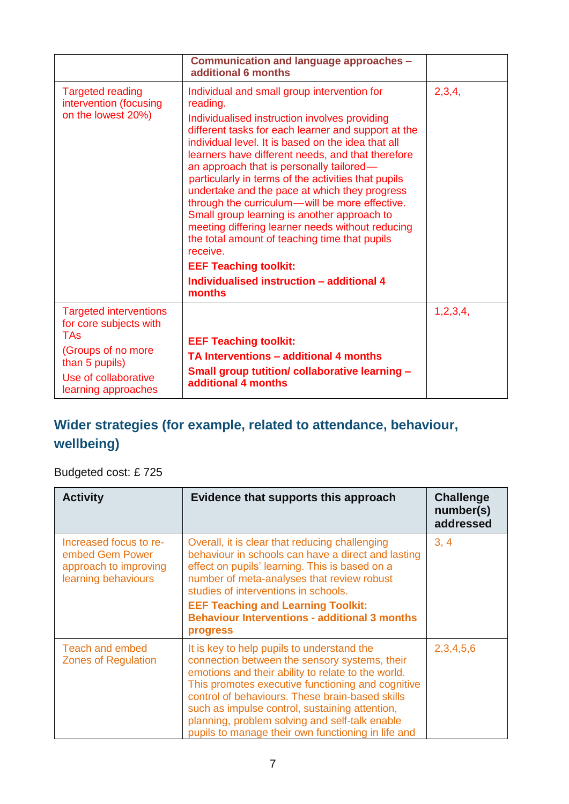|                                                                                                                                                              | Communication and language approaches -<br>additional 6 months                                                                                                                                                                                                                                                                                                                                                                                                                                                                                                                                                                                                                                                                          |          |
|--------------------------------------------------------------------------------------------------------------------------------------------------------------|-----------------------------------------------------------------------------------------------------------------------------------------------------------------------------------------------------------------------------------------------------------------------------------------------------------------------------------------------------------------------------------------------------------------------------------------------------------------------------------------------------------------------------------------------------------------------------------------------------------------------------------------------------------------------------------------------------------------------------------------|----------|
| <b>Targeted reading</b><br>intervention (focusing<br>on the lowest 20%)                                                                                      | Individual and small group intervention for<br>reading.<br>Individualised instruction involves providing<br>different tasks for each learner and support at the<br>individual level. It is based on the idea that all<br>learners have different needs, and that therefore<br>an approach that is personally tailored-<br>particularly in terms of the activities that pupils<br>undertake and the pace at which they progress<br>through the curriculum—will be more effective.<br>Small group learning is another approach to<br>meeting differing learner needs without reducing<br>the total amount of teaching time that pupils<br>receive.<br><b>EEF Teaching toolkit:</b><br>Individualised instruction - additional 4<br>months | 2,3,4,   |
| <b>Targeted interventions</b><br>for core subjects with<br><b>TAs</b><br>(Groups of no more<br>than 5 pupils)<br>Use of collaborative<br>learning approaches | <b>EEF Teaching toolkit:</b><br>TA Interventions - additional 4 months<br>Small group tutition/ collaborative learning -<br>additional 4 months                                                                                                                                                                                                                                                                                                                                                                                                                                                                                                                                                                                         | 1,2,3,4, |

### **Wider strategies (for example, related to attendance, behaviour, wellbeing)**

Budgeted cost: £ 725

| <b>Activity</b>                                                                           | Evidence that supports this approach                                                                                                                                                                                                                                                                                                                                                                                | <b>Challenge</b><br>number(s)<br>addressed |
|-------------------------------------------------------------------------------------------|---------------------------------------------------------------------------------------------------------------------------------------------------------------------------------------------------------------------------------------------------------------------------------------------------------------------------------------------------------------------------------------------------------------------|--------------------------------------------|
| Increased focus to re-<br>embed Gem Power<br>approach to improving<br>learning behaviours | Overall, it is clear that reducing challenging<br>behaviour in schools can have a direct and lasting<br>effect on pupils' learning. This is based on a<br>number of meta-analyses that review robust<br>studies of interventions in schools.<br><b>EEF Teaching and Learning Toolkit:</b><br><b>Behaviour Interventions - additional 3 months</b><br><b>progress</b>                                                | 3, 4                                       |
| <b>Teach and embed</b><br><b>Zones of Regulation</b>                                      | It is key to help pupils to understand the<br>connection between the sensory systems, their<br>emotions and their ability to relate to the world.<br>This promotes executive functioning and cognitive<br>control of behaviours. These brain-based skills<br>such as impulse control, sustaining attention,<br>planning, problem solving and self-talk enable<br>pupils to manage their own functioning in life and | 2,3,4,5,6                                  |